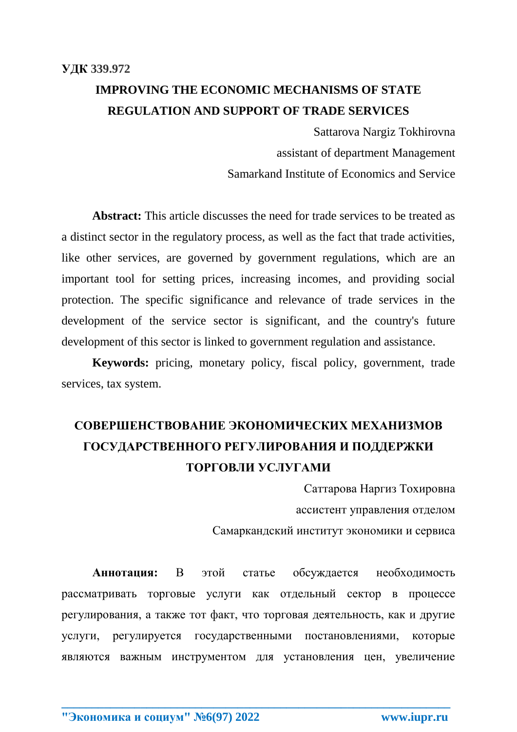## **IMPROVING THE ECONOMIC MECHANISMS OF STATE REGULATION AND SUPPORT OF TRADE SERVICES**

Sattarova Nargiz Tokhirovna assistant of department Management Samarkand Institute of Economics and Service

**Abstract:** This article discusses the need for trade services to be treated as a distinct sector in the regulatory process, as well as the fact that trade activities, like other services, are governed by government regulations, which are an important tool for setting prices, increasing incomes, and providing social protection. The specific significance and relevance of trade services in the development of the service sector is significant, and the country's future development of this sector is linked to government regulation and assistance.

**Keywords:** pricing, monetary policy, fiscal policy, government, trade services, tax system.

# **СОВЕРШЕНСТВОВАНИЕ ЭКОНОМИЧЕСКИХ МЕХАНИЗМОВ ГОСУДАРСТВЕННОГО РЕГУЛИРОВАНИЯ И ПОДДЕРЖКИ ТОРГОВЛИ УСЛУГАМИ**

Саттарова Наргиз Тохировна

ассистент управления отделом

Самаркандский институт экономики и сервиса

**Аннотация:** В этой статье обсуждается необходимость рассматривать торговые услуги как отдельный сектор в процессе регулирования, а также тот факт, что торговая деятельность, как и другие услуги, регулируется государственными постановлениями, которые являются важным инструментом для установления цен, увеличение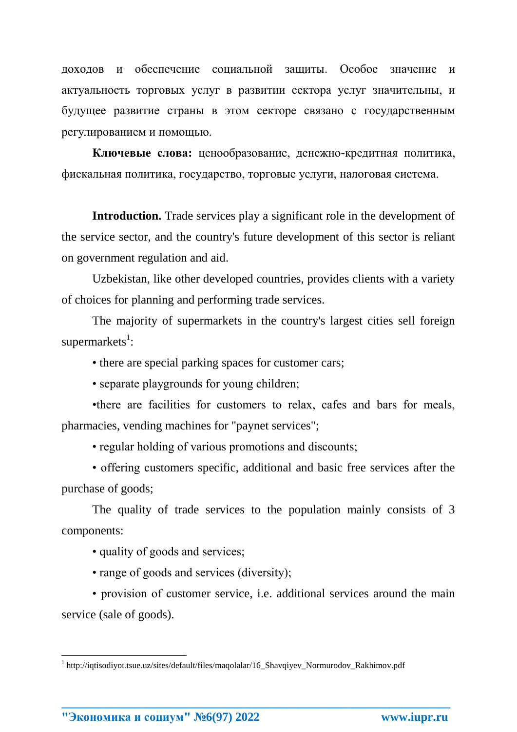доходов и обеспечение социальной защиты. Особое значение и актуальность торговых услуг в развитии сектора услуг значительны, и будущее развитие страны в этом секторе связано с государственным регулированием и помощью.

**Ключевые слова:** ценообразование, денежно-кредитная политика, фискальная политика, государство, торговые услуги, налоговая система.

**Introduction.** Trade services play a significant role in the development of the service sector, and the country's future development of this sector is reliant on government regulation and aid.

Uzbekistan, like other developed countries, provides clients with a variety of choices for planning and performing trade services.

The majority of supermarkets in the country's largest cities sell foreign supermarkets<sup>1</sup>:

• there are special parking spaces for customer cars;

• separate playgrounds for young children;

•there are facilities for customers to relax, cafes and bars for meals, pharmacies, vending machines for "paynet services";

• regular holding of various promotions and discounts;

• offering customers specific, additional and basic free services after the purchase of goods;

The quality of trade services to the population mainly consists of 3 components:

• quality of goods and services;

• range of goods and services (diversity);

• provision of customer service, i.e. additional services around the main service (sale of goods).

**\_\_\_\_\_\_\_\_\_\_\_\_\_\_\_\_\_\_\_\_\_\_\_\_\_\_\_\_\_\_\_\_\_\_\_\_\_\_\_\_\_\_\_\_\_\_\_\_\_\_\_\_\_\_\_\_\_\_\_\_\_\_\_\_**

**"Экономика и социум" №6(97) 2022 www.iupr.ru**

l

<sup>&</sup>lt;sup>1</sup> http://iqtisodiyot.tsue.uz/sites/default/files/maqolalar/16\_Shavqiyev\_Normurodov\_Rakhimov.pdf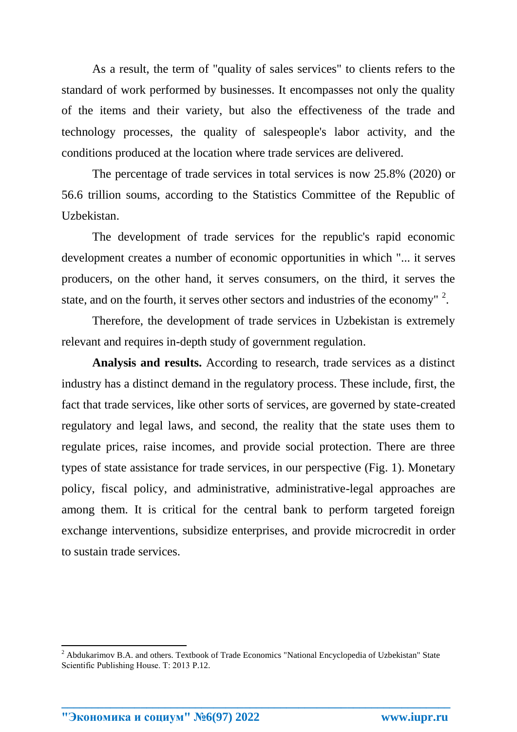As a result, the term of "quality of sales services" to clients refers to the standard of work performed by businesses. It encompasses not only the quality of the items and their variety, but also the effectiveness of the trade and technology processes, the quality of salespeople's labor activity, and the conditions produced at the location where trade services are delivered.

The percentage of trade services in total services is now 25.8% (2020) or 56.6 trillion soums, according to the Statistics Committee of the Republic of Uzbekistan.

The development of trade services for the republic's rapid economic development creates a number of economic opportunities in which "... it serves producers, on the other hand, it serves consumers, on the third, it serves the state, and on the fourth, it serves other sectors and industries of the economy"  $2$ .

Therefore, the development of trade services in Uzbekistan is extremely relevant and requires in-depth study of government regulation.

**Analysis and results.** According to research, trade services as a distinct industry has a distinct demand in the regulatory process. These include, first, the fact that trade services, like other sorts of services, are governed by state-created regulatory and legal laws, and second, the reality that the state uses them to regulate prices, raise incomes, and provide social protection. There are three types of state assistance for trade services, in our perspective (Fig. 1). Monetary policy, fiscal policy, and administrative, administrative-legal approaches are among them. It is critical for the central bank to perform targeted foreign exchange interventions, subsidize enterprises, and provide microcredit in order to sustain trade services.

**\_\_\_\_\_\_\_\_\_\_\_\_\_\_\_\_\_\_\_\_\_\_\_\_\_\_\_\_\_\_\_\_\_\_\_\_\_\_\_\_\_\_\_\_\_\_\_\_\_\_\_\_\_\_\_\_\_\_\_\_\_\_\_\_**

 $\overline{\phantom{a}}$ 

<sup>&</sup>lt;sup>2</sup> Abdukarimov B.A. and others. Textbook of Trade Economics "National Encyclopedia of Uzbekistan" State Scientific Publishing House. Т: 2013 P.12.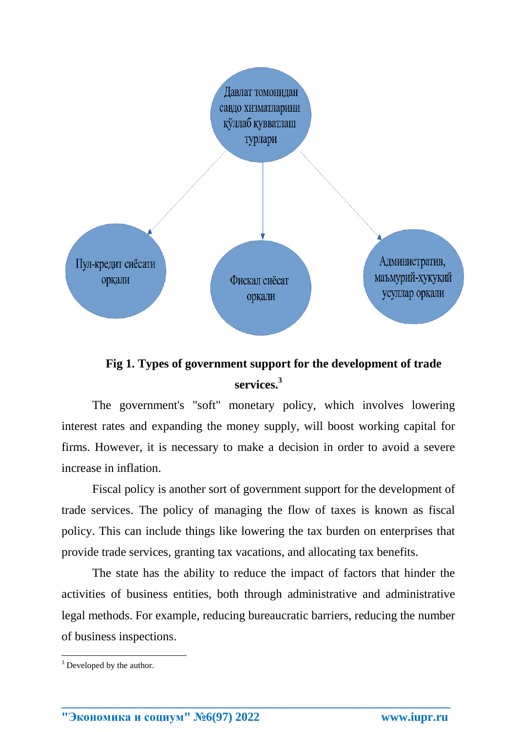

### **Fig 1. Types of government support for the development of trade services. 3**

The government's "soft" monetary policy, which involves lowering interest rates and expanding the money supply, will boost working capital for firms. However, it is necessary to make a decision in order to avoid a severe increase in inflation.

Fiscal policy is another sort of government support for the development of trade services. The policy of managing the flow of taxes is known as fiscal policy. This can include things like lowering the tax burden on enterprises that provide trade services, granting tax vacations, and allocating tax benefits.

The state has the ability to reduce the impact of factors that hinder the activities of business entities, both through administrative and administrative legal methods. For example, reducing bureaucratic barriers, reducing the number of business inspections.

**\_\_\_\_\_\_\_\_\_\_\_\_\_\_\_\_\_\_\_\_\_\_\_\_\_\_\_\_\_\_\_\_\_\_\_\_\_\_\_\_\_\_\_\_\_\_\_\_\_\_\_\_\_\_\_\_\_\_\_\_\_\_\_\_**

l

 $3$  Developed by the author.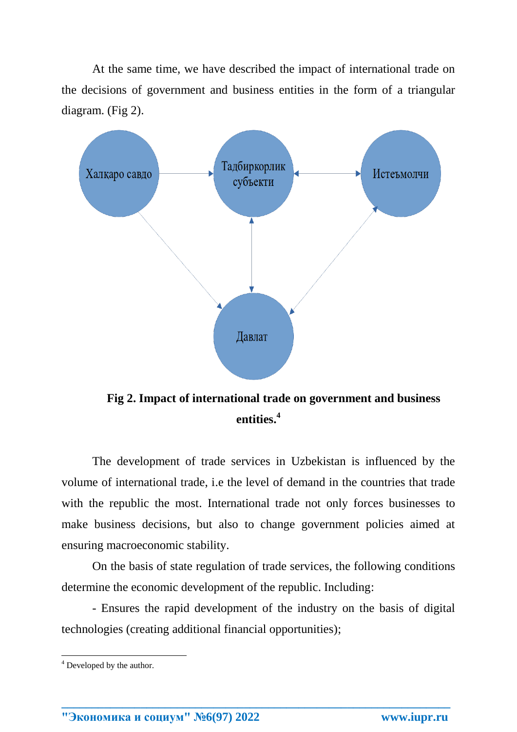At the same time, we have described the impact of international trade on the decisions of government and business entities in the form of a triangular diagram. (Fig 2).



**Fig 2. Impact of international trade on government and business entities. 4**

The development of trade services in Uzbekistan is influenced by the volume of international trade, i.e the level of demand in the countries that trade with the republic the most. International trade not only forces businesses to make business decisions, but also to change government policies aimed at ensuring macroeconomic stability.

On the basis of state regulation of trade services, the following conditions determine the economic development of the republic. Including:

- Ensures the rapid development of the industry on the basis of digital technologies (creating additional financial opportunities);

**\_\_\_\_\_\_\_\_\_\_\_\_\_\_\_\_\_\_\_\_\_\_\_\_\_\_\_\_\_\_\_\_\_\_\_\_\_\_\_\_\_\_\_\_\_\_\_\_\_\_\_\_\_\_\_\_\_\_\_\_\_\_\_\_**

l

 $4$  Developed by the author.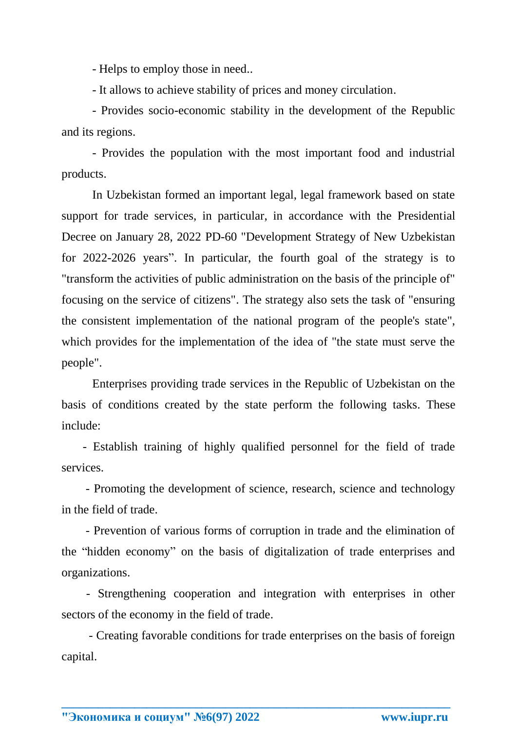- Helps to employ those in need..

- It allows to achieve stability of prices and money circulation.

- Provides socio-economic stability in the development of the Republic and its regions.

- Provides the population with the most important food and industrial products.

In Uzbekistan formed an important legal, legal framework based on state support for trade services, in particular, in accordance with the Presidential Decree on January 28, 2022 PD-60 "Development Strategy of New Uzbekistan for 2022-2026 years". In particular, the fourth goal of the strategy is to "transform the activities of public administration on the basis of the principle of" focusing on the service of citizens". The strategy also sets the task of "ensuring the consistent implementation of the national program of the people's state", which provides for the implementation of the idea of "the state must serve the people".

Enterprises providing trade services in the Republic of Uzbekistan on the basis of conditions created by the state perform the following tasks. These include:

 - Establish training of highly qualified personnel for the field of trade services.

 - Promoting the development of science, research, science and technology in the field of trade.

 - Prevention of various forms of corruption in trade and the elimination of the "hidden economy" on the basis of digitalization of trade enterprises and organizations.

- Strengthening cooperation and integration with enterprises in other sectors of the economy in the field of trade.

 - Creating favorable conditions for trade enterprises on the basis of foreign capital.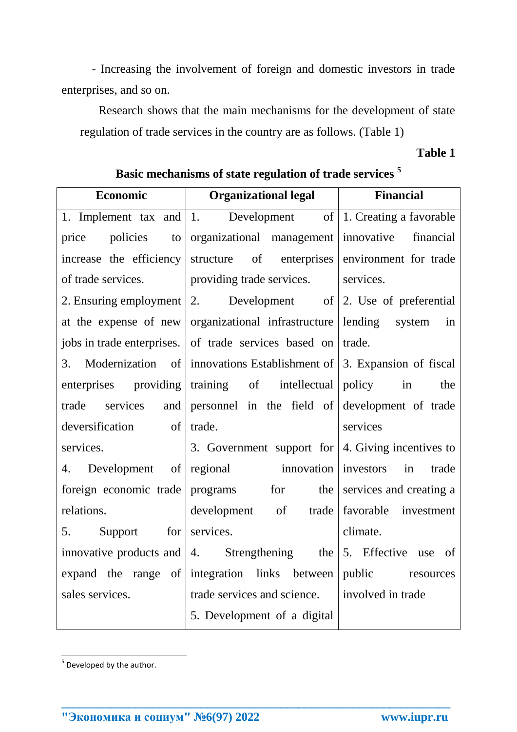- Increasing the involvement of foreign and domestic investors in trade enterprises, and so on.

Research shows that the main mechanisms for the development of state regulation of trade services in the country are as follows. (Table 1)

### **Table 1**

| Economic                           | <b>Organizational legal</b>                                                       | <b>Financial</b>        |
|------------------------------------|-----------------------------------------------------------------------------------|-------------------------|
|                                    | 1. Implement tax and $\vert 1$ . Development of $\vert 1$ . Creating a favorable  |                         |
| price<br>policies<br>to            | organizational management innovative                                              | financial               |
|                                    | increase the efficiency structure of enterprises environment for trade            |                         |
| of trade services.                 | providing trade services.                                                         | services.               |
|                                    | 2. Ensuring employment $\vert 2$ . Development of $\vert 2$ . Use of preferential |                         |
|                                    | at the expense of new organizational infrastructure lending system                | in                      |
|                                    | jobs in trade enterprises. of trade services based on trade.                      |                         |
| 3.                                 | Modernization of innovations Establishment of 3. Expansion of fiscal              |                         |
| enterprises providing              | training of intellectual policy in                                                | the                     |
| trade services<br>and              | personnel in the field of development of trade                                    |                         |
| deversification of                 | trade.                                                                            | services                |
| services.                          | 3. Government support for $\vert$ 4. Giving incentives to                         |                         |
| 4.                                 | Development of regional innovation investors                                      | in<br>trade             |
|                                    | foreign economic trade programs for the                                           | services and creating a |
| relations.                         | development of trade                                                              | favorable investment    |
| 5.<br>Support<br>for               | services.                                                                         | climate.                |
|                                    | innovative products and $ 4$ . Strengthening the                                  | 5. Effective use<br>of  |
| $\circ$ of $ $<br>expand the range | integration links between                                                         | public resources        |
| sales services.                    | trade services and science.   involved in trade                                   |                         |
|                                    | 5. Development of a digital                                                       |                         |

**\_\_\_\_\_\_\_\_\_\_\_\_\_\_\_\_\_\_\_\_\_\_\_\_\_\_\_\_\_\_\_\_\_\_\_\_\_\_\_\_\_\_\_\_\_\_\_\_\_\_\_\_\_\_\_\_\_\_\_\_\_\_\_\_**

**Basic mechanisms of state regulation of trade services <sup>5</sup>**

<sup>&</sup>lt;u>s</u><br><sup>5</sup> Developed by the author.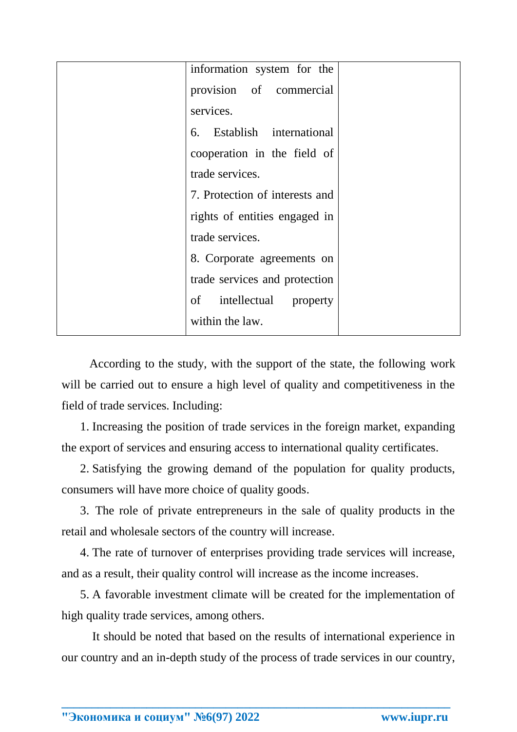| information system for the     |  |
|--------------------------------|--|
| provision of commercial        |  |
| services.                      |  |
| 6. Establish international     |  |
| cooperation in the field of    |  |
| trade services.                |  |
| 7. Protection of interests and |  |
| rights of entities engaged in  |  |
| trade services.                |  |
| 8. Corporate agreements on     |  |
| trade services and protection  |  |
| intellectual property<br>of    |  |
| within the law.                |  |

According to the study, with the support of the state, the following work will be carried out to ensure a high level of quality and competitiveness in the field of trade services. Including:

1. Increasing the position of trade services in the foreign market, expanding the export of services and ensuring access to international quality certificates.

2. Satisfying the growing demand of the population for quality products, consumers will have more choice of quality goods.

3. The role of private entrepreneurs in the sale of quality products in the retail and wholesale sectors of the country will increase.

4. The rate of turnover of enterprises providing trade services will increase, and as a result, their quality control will increase as the income increases.

5. A favorable investment climate will be created for the implementation of high quality trade services, among others.

It should be noted that based on the results of international experience in our country and an in-depth study of the process of trade services in our country,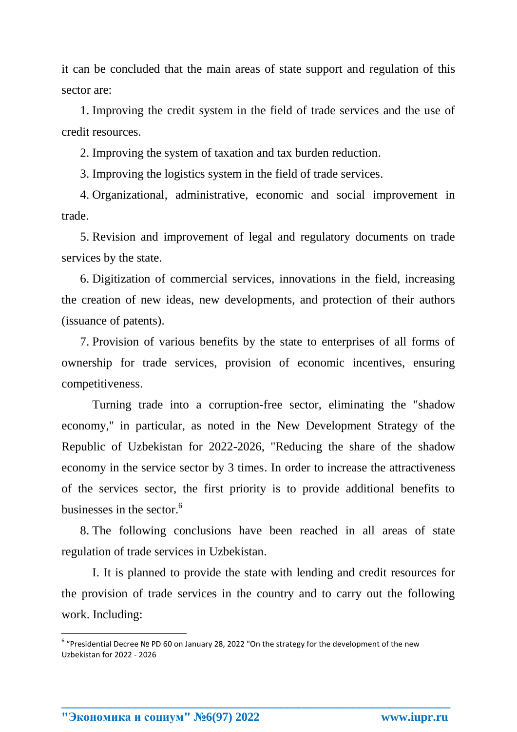it can be concluded that the main areas of state support and regulation of this sector are:

1. Improving the credit system in the field of trade services and the use of credit resources.

2. Improving the system of taxation and tax burden reduction.

3. Improving the logistics system in the field of trade services.

4. Organizational, administrative, economic and social improvement in trade.

5. Revision and improvement of legal and regulatory documents on trade services by the state.

6. Digitization of commercial services, innovations in the field, increasing the creation of new ideas, new developments, and protection of their authors (issuance of patents).

7. Provision of various benefits by the state to enterprises of all forms of ownership for trade services, provision of economic incentives, ensuring competitiveness.

Turning trade into a corruption-free sector, eliminating the "shadow economy," in particular, as noted in the New Development Strategy of the Republic of Uzbekistan for 2022-2026, "Reducing the share of the shadow economy in the service sector by 3 times. In order to increase the attractiveness of the services sector, the first priority is to provide additional benefits to businesses in the sector.<sup>6</sup>

8. The following conclusions have been reached in all areas of state regulation of trade services in Uzbekistan.

I. It is planned to provide the state with lending and credit resources for the provision of trade services in the country and to carry out the following work. Including:

**\_\_\_\_\_\_\_\_\_\_\_\_\_\_\_\_\_\_\_\_\_\_\_\_\_\_\_\_\_\_\_\_\_\_\_\_\_\_\_\_\_\_\_\_\_\_\_\_\_\_\_\_\_\_\_\_\_\_\_\_\_\_\_\_**

**"Экономика и социум" №6(97) 2022 www.iupr.ru**

 $\overline{\phantom{a}}$ 

<sup>6</sup> "Presidential Decree № PD 60 on January 28, 2022 "On the strategy for the development of the new Uzbekistan for 2022 - 2026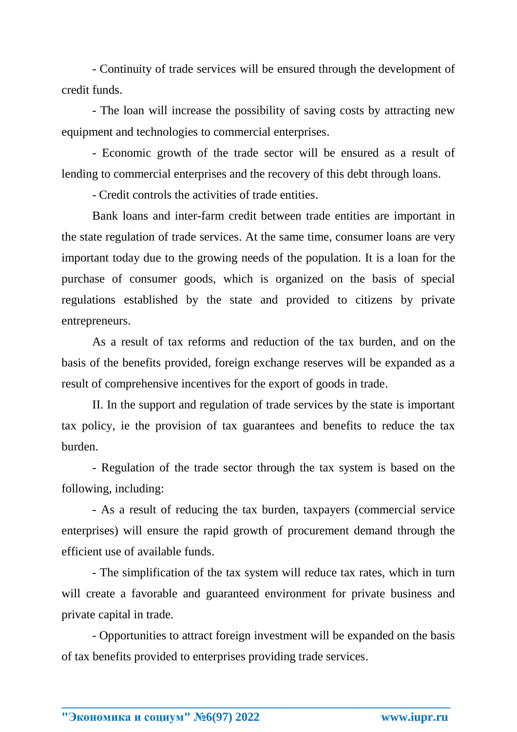- Continuity of trade services will be ensured through the development of credit funds.

- The loan will increase the possibility of saving costs by attracting new equipment and technologies to commercial enterprises.

- Economic growth of the trade sector will be ensured as a result of lending to commercial enterprises and the recovery of this debt through loans.

- Credit controls the activities of trade entities.

Bank loans and inter-farm credit between trade entities are important in the state regulation of trade services. At the same time, consumer loans are very important today due to the growing needs of the population. It is a loan for the purchase of consumer goods, which is organized on the basis of special regulations established by the state and provided to citizens by private entrepreneurs.

As a result of tax reforms and reduction of the tax burden, and on the basis of the benefits provided, foreign exchange reserves will be expanded as a result of comprehensive incentives for the export of goods in trade.

II. In the support and regulation of trade services by the state is important tax policy, ie the provision of tax guarantees and benefits to reduce the tax burden.

- Regulation of the trade sector through the tax system is based on the following, including:

- As a result of reducing the tax burden, taxpayers (commercial service enterprises) will ensure the rapid growth of procurement demand through the efficient use of available funds.

- The simplification of the tax system will reduce tax rates, which in turn will create a favorable and guaranteed environment for private business and private capital in trade.

- Opportunities to attract foreign investment will be expanded on the basis of tax benefits provided to enterprises providing trade services.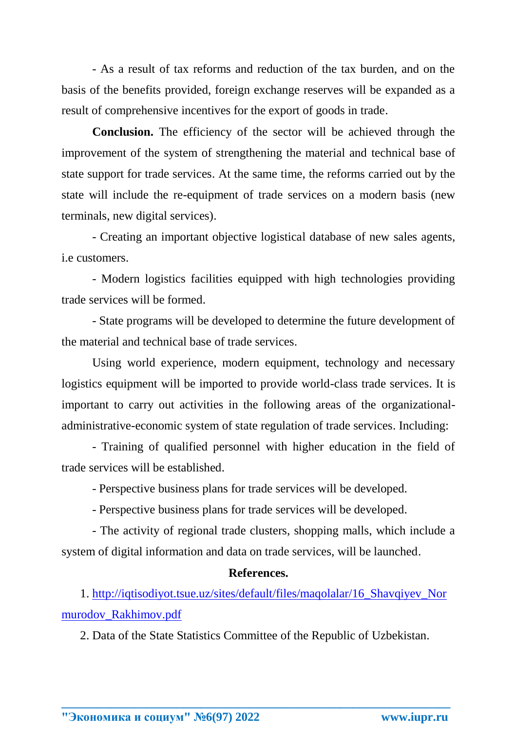- As a result of tax reforms and reduction of the tax burden, and on the basis of the benefits provided, foreign exchange reserves will be expanded as a result of comprehensive incentives for the export of goods in trade.

**Conclusion.** The efficiency of the sector will be achieved through the improvement of the system of strengthening the material and technical base of state support for trade services. At the same time, the reforms carried out by the state will include the re-equipment of trade services on a modern basis (new terminals, new digital services).

- Creating an important objective logistical database of new sales agents, i.e customers.

- Modern logistics facilities equipped with high technologies providing trade services will be formed.

- State programs will be developed to determine the future development of the material and technical base of trade services.

Using world experience, modern equipment, technology and necessary logistics equipment will be imported to provide world-class trade services. It is important to carry out activities in the following areas of the organizationaladministrative-economic system of state regulation of trade services. Including:

- Training of qualified personnel with higher education in the field of trade services will be established.

- Perspective business plans for trade services will be developed.

- Perspective business plans for trade services will be developed.

- The activity of regional trade clusters, shopping malls, which include a system of digital information and data on trade services, will be launched.

#### **References.**

1. [http://iqtisodiyot.tsue.uz/sites/default/files/maqolalar/16\\_Shavqiyev\\_Nor](http://iqtisodiyot.tsue.uz/sites/default/files/maqolalar/16_Shavqiyev_Normurodov_Rakhimov.pdf) [murodov\\_Rakhimov.pdf](http://iqtisodiyot.tsue.uz/sites/default/files/maqolalar/16_Shavqiyev_Normurodov_Rakhimov.pdf)

2. Data of the State Statistics Committee of the Republic of Uzbekistan.